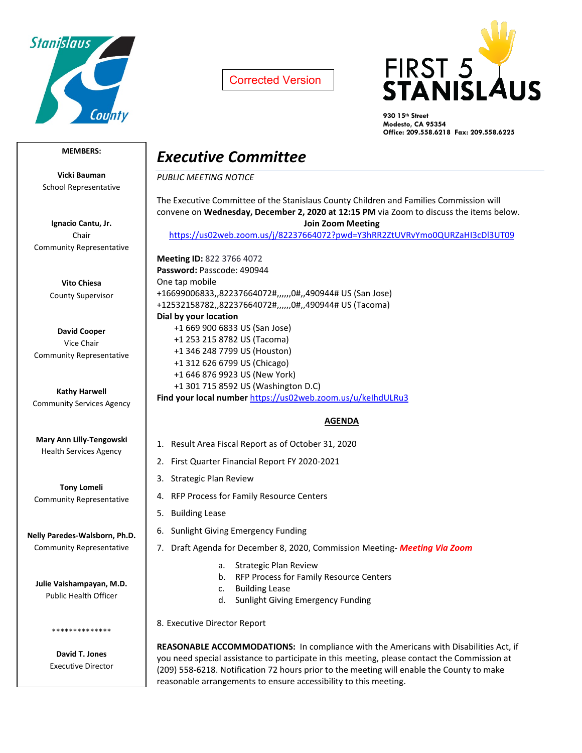

Corrected Version



**930 15th Street Modesto, CA 95354 Office: 209.558.6218 Fax: 209.558.6225**

## **MEMBERS:**

**Vicki Bauman** School Representative

**Ignacio Cantu, Jr.** Chair Community Representative

> **Vito Chiesa** County Supervisor

**David Cooper** Vice Chair Community Representative

**Kathy Harwell** Community Services Agency

**Mary Ann Lilly-Tengowski** Health Services Agency

**Tony Lomeli** Community Representative

**Nelly Paredes-Walsborn, Ph.D.** Community Representative

**Julie Vaishampayan, M.D.** Public Health Officer

> **David T. Jones** Executive Director

\*\*\*\*\*\*\*\*\*\*\*\*\*\*

## *Executive Committee*

*PUBLIC MEETING NOTICE*

The Executive Committee of the Stanislaus County Children and Families Commission will convene on **Wednesday, December 2, 2020 at 12:15 PM** via Zoom to discuss the items below. **Join Zoom Meeting** <https://us02web.zoom.us/j/82237664072?pwd=Y3hRR2ZtUVRvYmo0QURZaHI3cDl3UT09> **Meeting ID:** 822 3766 4072 **Password:** Passcode: 490944 One tap mobile +16699006833,,82237664072#,,,,,,0#,,490944# US (San Jose) +12532158782,,82237664072#,,,,,,0#,,490944# US (Tacoma) **Dial by your location** +1 669 900 6833 US (San Jose) +1 253 215 8782 US (Tacoma) +1 346 248 7799 US (Houston) +1 312 626 6799 US (Chicago) +1 646 876 9923 US (New York) +1 301 715 8592 US (Washington D.C) **Find your local number** <https://us02web.zoom.us/u/keIhdULRu3> **AGENDA** 1. Result Area Fiscal Report as of October 31, 2020 2. First Quarter Financial Report FY 2020-2021 3. Strategic Plan Review

- 
- 4. RFP Process for Family Resource Centers
- 5. Building Lease
- 6. Sunlight Giving Emergency Funding
- 7. Draft Agenda for December 8, 2020, Commission Meeting- *Meeting Via Zoom*
	- a. Strategic Plan Review
	- b. RFP Process for Family Resource Centers
	- c. Building Lease
	- d. Sunlight Giving Emergency Funding

8. Executive Director Report

**REASONABLE ACCOMMODATIONS:** In compliance with the Americans with Disabilities Act, if you need special assistance to participate in this meeting, please contact the Commission at (209) 558-6218. Notification 72 hours prior to the meeting will enable the County to make reasonable arrangements to ensure accessibility to this meeting.